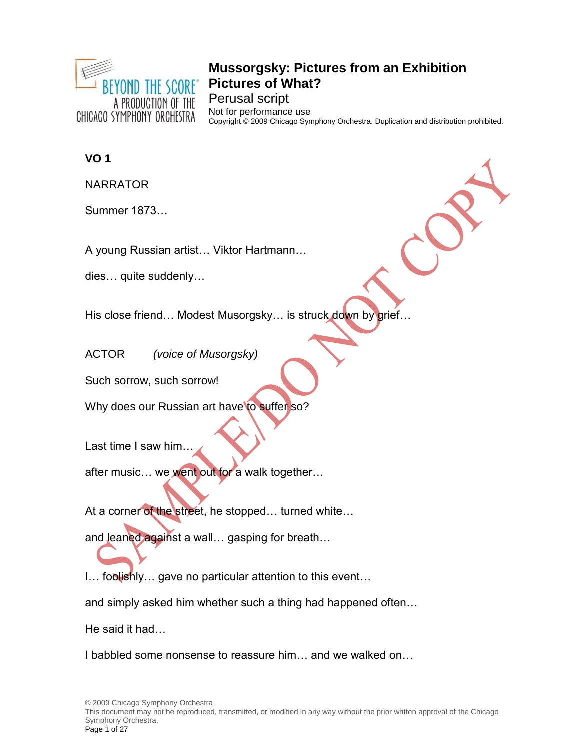

# **Mussorgsky: Pictures from an Exhibition Pictures of What?** Perusal script

Not for performance use Copyright © 2009 Chicago Symphony Orchestra. Duplication and distribution prohibited.

# **VO 1**

NARRATOR

Summer 1873…

A young Russian artist… Viktor Hartmann…

dies… quite suddenly…

His close friend... Modest Musorgsky... is struck down by grief...

ACTOR *(voice of Musorgsky)*

Such sorrow, such sorrow!

Why does our Russian art have to suffer so?

Last time I saw him…

after music… we went out for a walk together…

At a corner of the street, he stopped... turned white...

and leaned against a wall… gasping for breath…

I… foolishly… gave no particular attention to this event…

and simply asked him whether such a thing had happened often…

He said it had…

I babbled some nonsense to reassure him… and we walked on…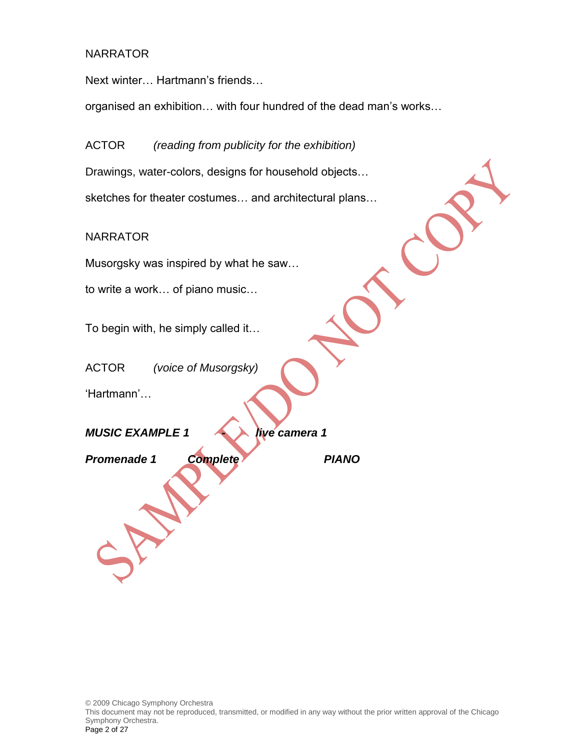Next winter… Hartmann's friends…

organised an exhibition… with four hundred of the dead man's works…

ACTOR *(reading from publicity for the exhibition)* Drawings, water-colors, designs for household objects… sketches for theater costumes… and architectural plans…

#### **NARRATOR**

Musorgsky was inspired by what he saw…

to write a work… of piano music…

To begin with, he simply called it…

ACTOR *(voice of Musorgsky)*

'Hartmann'…

*MUSIC EXAMPLE 1 - live camera 1*

*Promenade 1 Complete PIANO*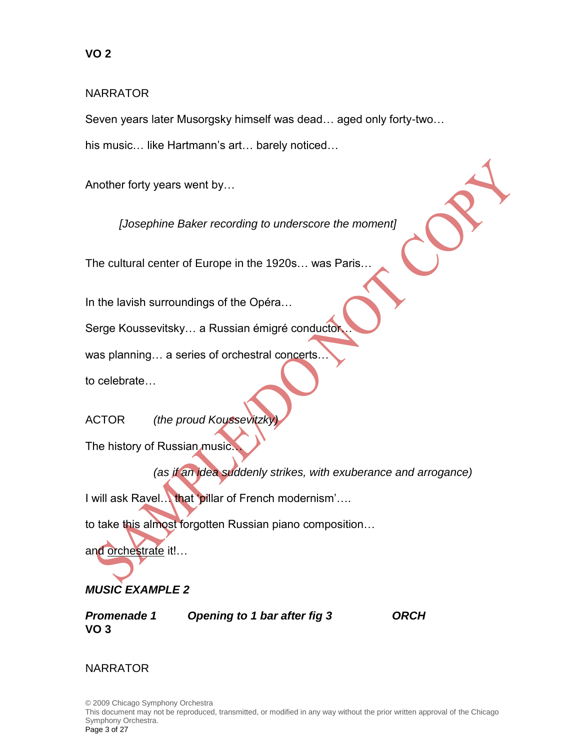Seven years later Musorgsky himself was dead… aged only forty-two… his music… like Hartmann's art… barely noticed…

Another forty years went by…

*[Josephine Baker recording to underscore the moment]*

The cultural center of Europe in the 1920s… was Paris…

In the lavish surroundings of the Opéra…

Serge Koussevitsky… a Russian émigré conductor…

was planning... a series of orchestral concerts.

to celebrate…

ACTOR *(the proud Koussevitzel)* 

The history of Russian music…

*(as if an idea suddenly strikes, with exuberance and arrogance)*

I will ask Ravel… that 'pillar of French modernism'….

to take this almost forgotten Russian piano composition…

and orchestrate it!...

# *MUSIC EXAMPLE 2*

**VO 3**

*Promenade 1 Opening to 1 bar after fig 3 ORCH*

# NARRATOR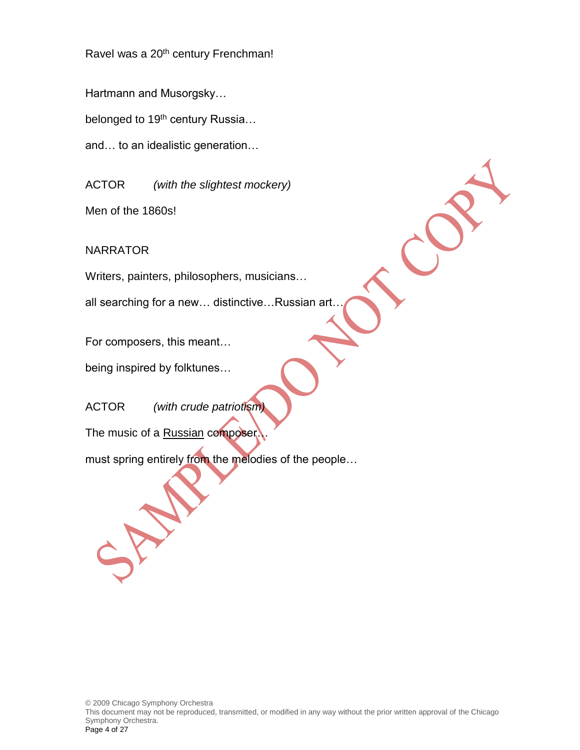Ravel was a 20<sup>th</sup> century Frenchman!

Hartmann and Musorgsky…

belonged to 19<sup>th</sup> century Russia...

and… to an idealistic generation…

ACTOR *(with the slightest mockery)*

Men of the 1860s!

NARRATOR

Writers, painters, philosophers, musicians…

all searching for a new… distinctive…Russian art…

For composers, this meant…

being inspired by folktunes…

ACTOR *(with crude patriotism)*

The music of a Russian composer.

must spring entirely from the melodies of the people…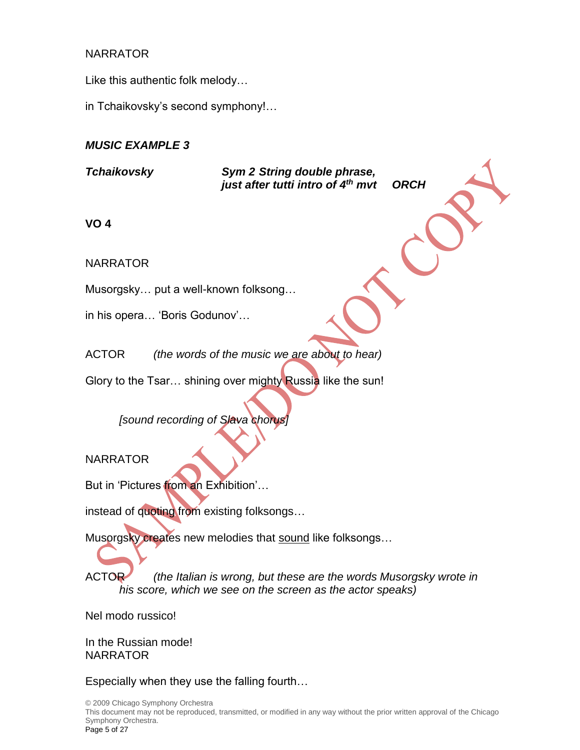Like this authentic folk melody…

in Tchaikovsky's second symphony!…

# *MUSIC EXAMPLE 3*

*Tchaikovsky Sym 2 String double phrase, just after tutti intro of 4th mvt ORCH*

**VO 4**

NARRATOR

Musorgsky… put a well-known folksong…

in his opera… 'Boris Godunov'…

ACTOR *(the words of the music we are about to hear)*

Glory to the Tsar... shining over mighty Russia like the sun!

*[sound recording of Slava chorus]*

# **NARRATOR**

But in 'Pictures from an Exhibition'…

instead of quoting from existing folksongs...

Musorgsky creates new melodies that sound like folksongs…

ACTOR *(the Italian is wrong, but these are the words Musorgsky wrote in his score, which we see on the screen as the actor speaks)*

Nel modo russico!

In the Russian mode! NARRATOR

Especially when they use the falling fourth…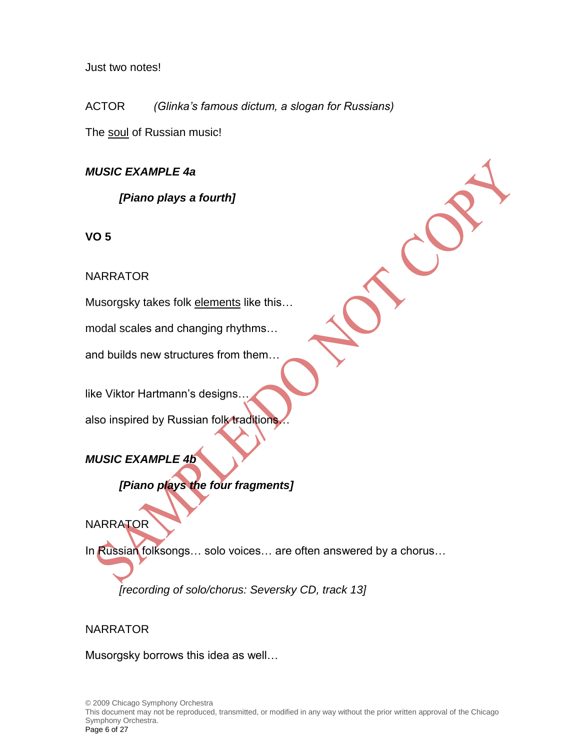Just two notes!

ACTOR *(Glinka's famous dictum, a slogan for Russians)*

The soul of Russian music!

*MUSIC EXAMPLE 4a*

*[Piano plays a fourth]* 

**VO 5**

# NARRATOR

Musorgsky takes folk elements like this…

modal scales and changing rhythms…

and builds new structures from them…

like Viktor Hartmann's designs…

also inspired by Russian folk traditions

*MUSIC EXAMPLE 4b*

# *[Piano plays the four fragments]*

**NARRATOR** 

In Russian folksongs… solo voices… are often answered by a chorus…

*[recording of solo/chorus: Seversky CD, track 13]*

# NARRATOR

Musorgsky borrows this idea as well…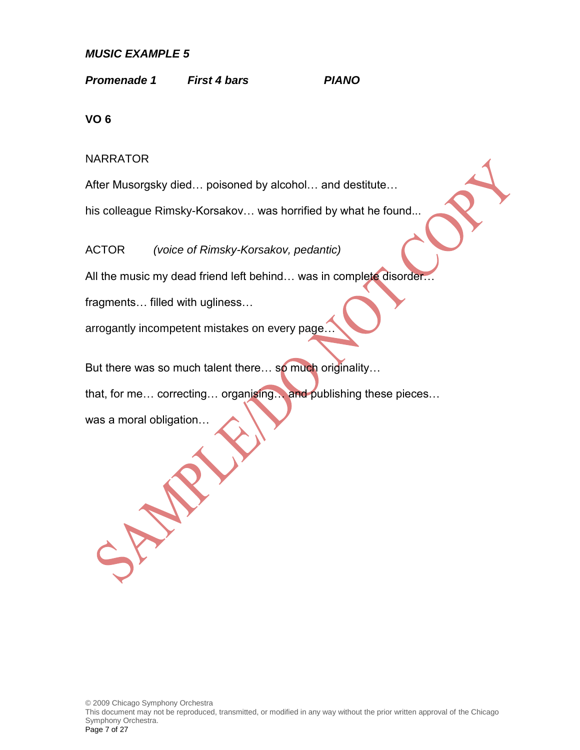#### *MUSIC EXAMPLE 5*

*Promenade 1 First 4 bars PIANO*

**VO 6**

#### NARRATOR

After Musorgsky died… poisoned by alcohol… and destitute…

his colleague Rimsky-Korsakov... was horrified by what he found...

ACTOR *(voice of Rimsky-Korsakov, pedantic)*

All the music my dead friend left behind... was in complete disorder...

fragments… filled with ugliness…

arrogantly incompetent mistakes on every page…

But there was so much talent there... so much originality...

that, for me… correcting… organising… and publishing these pieces…

was a moral obligation…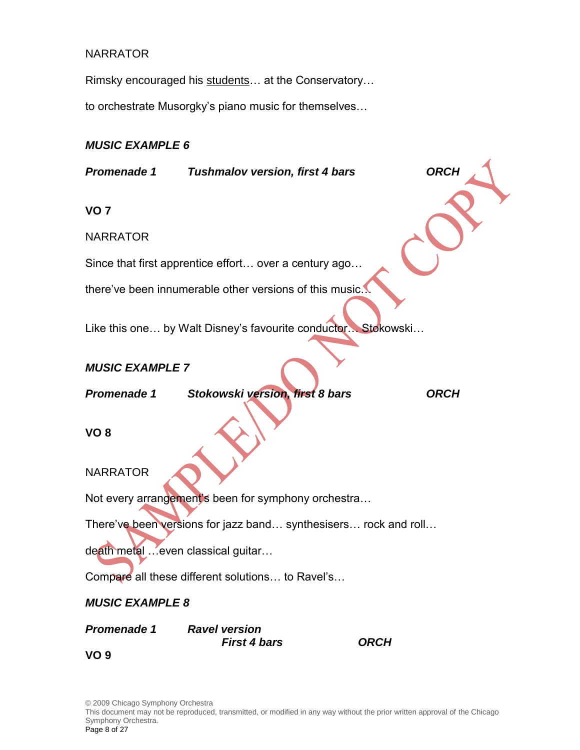Rimsky encouraged his students… at the Conservatory…

to orchestrate Musorgky's piano music for themselves…

# *MUSIC EXAMPLE 6*

| Promenade 1                                                     | <b>Tushmalov version, first 4 bars</b>      | <b>ORCH</b> |  |  |  |
|-----------------------------------------------------------------|---------------------------------------------|-------------|--|--|--|
| VO <sub>7</sub>                                                 |                                             |             |  |  |  |
| <b>NARRATOR</b>                                                 |                                             |             |  |  |  |
| Since that first apprentice effort over a century ago           |                                             |             |  |  |  |
| there've been innumerable other versions of this music.         |                                             |             |  |  |  |
| Like this one by Walt Disney's favourite conductor Stokowski    |                                             |             |  |  |  |
| <b>MUSIC EXAMPLE 7</b>                                          |                                             |             |  |  |  |
| Promenade 1                                                     | Stokowski version, first 8 bars             | <b>ORCH</b> |  |  |  |
| VO <sub>8</sub>                                                 |                                             |             |  |  |  |
| <b>NARRATOR</b>                                                 |                                             |             |  |  |  |
| Not every arrangement's been for symphony orchestra             |                                             |             |  |  |  |
| There've been versions for jazz band synthesisers rock and roll |                                             |             |  |  |  |
| death metal  even classical guitar                              |                                             |             |  |  |  |
| Compare all these different solutions to Ravel's                |                                             |             |  |  |  |
| <b>MUSIC EXAMPLE 8</b>                                          |                                             |             |  |  |  |
| <b>Promenade 1</b>                                              | <b>Ravel version</b><br><b>First 4 bars</b> | <b>ORCH</b> |  |  |  |
| VO <sub>9</sub>                                                 |                                             |             |  |  |  |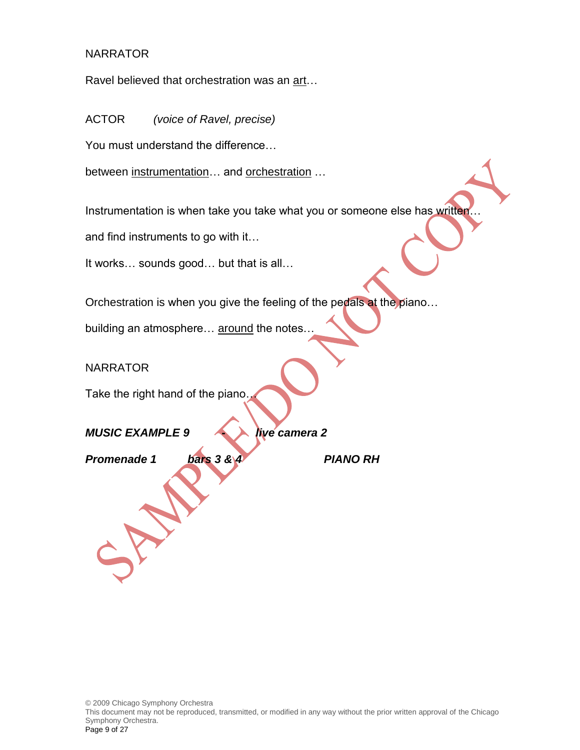Ravel believed that orchestration was an art…

ACTOR *(voice of Ravel, precise)*

You must understand the difference…

between instrumentation… and orchestration …

Instrumentation is when take you take what you or someone else has written.

and find instruments to go with it…

It works… sounds good… but that is all…

Orchestration is when you give the feeling of the pedals at the piano…

building an atmosphere... around the notes..

**NARRATOR** 

Take the right hand of the piano…

*MUSIC EXAMPLE 9 - live camera 2*

*Promenade 1 bars 3 & 4 PIANO RH*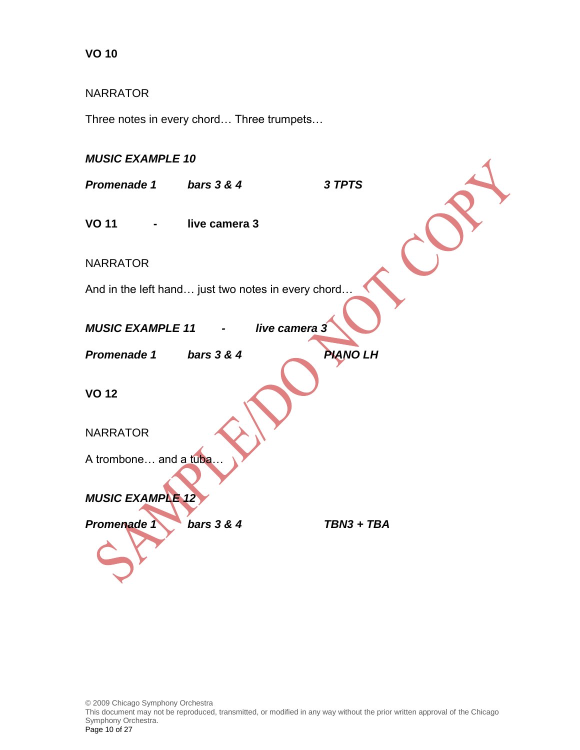#### NARRATOR

Three notes in every chord… Three trumpets…

#### *MUSIC EXAMPLE 10*

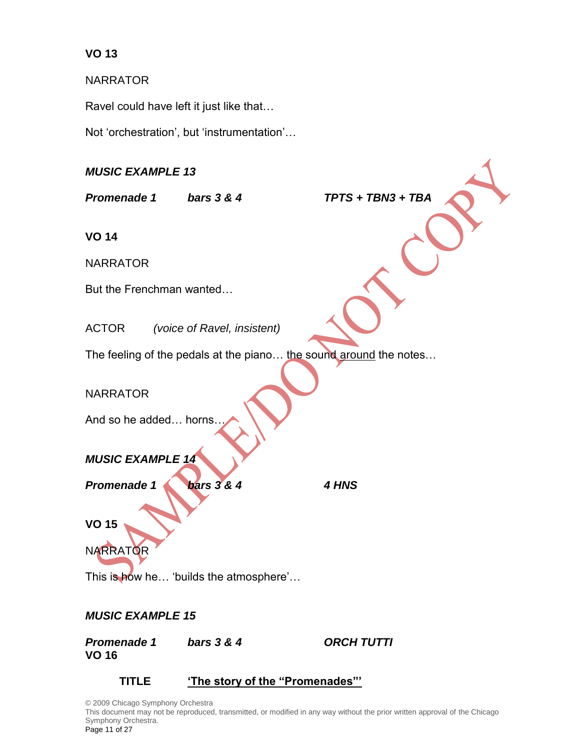NARRATOR

Ravel could have left it just like that…

Not 'orchestration', but 'instrumentation'…

*MUSIC EXAMPLE 13*

*Promenade 1 bars 3 & 4 TPTS + TBN3 + TBA*

**VO 14**

NARRATOR

But the Frenchman wanted…

ACTOR *(voice of Ravel, insistent)*

The feeling of the pedals at the piano... the sound around the notes...

NARRATOR

And so he added… horns…

# *MUSIC EXAMPLE 14*

*Promenade 1 bars 3 & 4 4 HNS*

**VO 15**

NARRATOR

This is how he... 'builds the atmosphere'...

# *MUSIC EXAMPLE 15*

*Promenade 1 bars 3 & 4 ORCH TUTTI* **VO 16**

# **TITLE 'The story of the "Promenades"'**

© 2009 Chicago Symphony Orchestra This document may not be reproduced, transmitted, or modified in any way without the prior written approval of the Chicago Symphony Orchestra. Page 11 of 27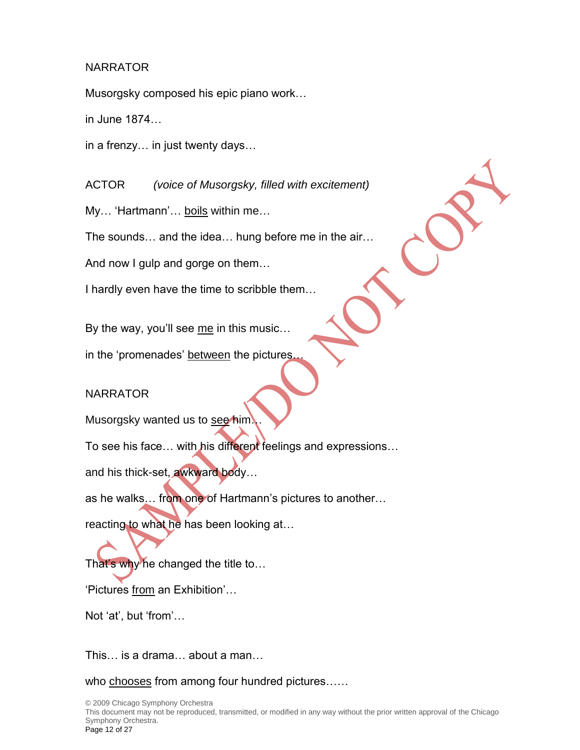Musorgsky composed his epic piano work…

in June 1874…

in a frenzy… in just twenty days…

ACTOR *(voice of Musorgsky, filled with excitement)*

My… 'Hartmann'… boils within me…

The sounds… and the idea… hung before me in the air…

And now I gulp and gorge on them…

I hardly even have the time to scribble them…

By the way, you'll see me in this music…

in the 'promenades' between the pictures.

# NARRATOR

Musorgsky wanted us to see him

To see his face… with his different feelings and expressions…

and his thick-set, awkward body…

as he walks... from one of Hartmann's pictures to another...

reacting to what he has been looking at…

That's why he changed the title to... 'Pictures from an Exhibition'…

Not 'at', but 'from'…

This… is a drama… about a man…

who chooses from among four hundred pictures.....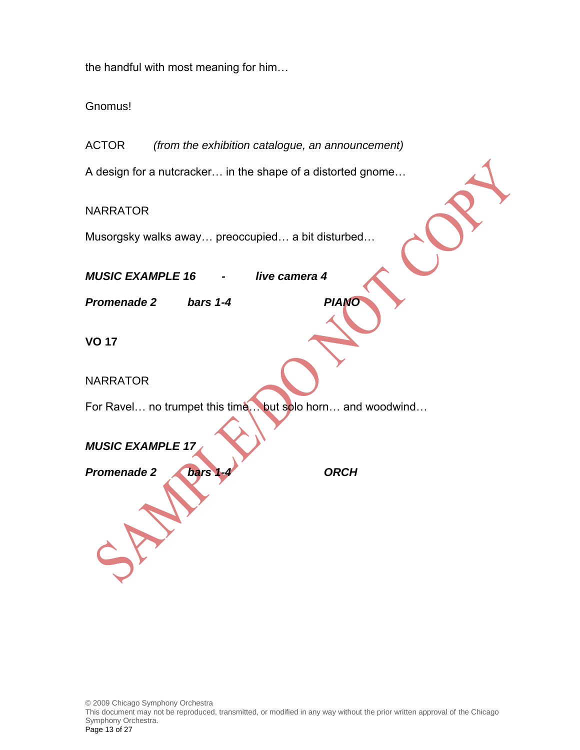the handful with most meaning for him…

Gnomus!

ACTOR *(from the exhibition catalogue, an announcement)* A design for a nutcracker… in the shape of a distorted gnome… **NARRATOR** Musorgsky walks away… preoccupied… a bit disturbed… *MUSIC EXAMPLE 16 - live camera 4 Promenade 2 bars 1-4 PIANO* **VO 17** NARRATOR For Ravel… no trumpet this time… but solo horn… and woodwind… *MUSIC EXAMPLE 17 Promenade 2 bars 1-4 ORCH*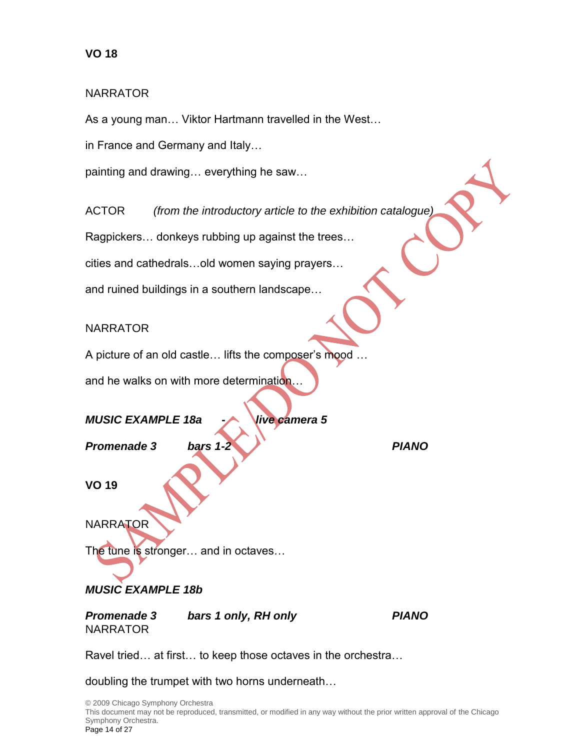As a young man… Viktor Hartmann travelled in the West…

in France and Germany and Italy…

painting and drawing… everything he saw…

ACTOR *(from the introductory article to the exhibition catalogue)*

Ragpickers… donkeys rubbing up against the trees…

cities and cathedrals…old women saying prayers…

and ruined buildings in a southern landscape…

#### NARRATOR

A picture of an old castle... lifts the composer's mood ...

and he walks on with more determination...

# *MUSIC EXAMPLE 18a - live camera 5*

*Promenade 3 bars 1-2 PIANO*

**VO 19**

**NARRATOR** 

The tune is stronger… and in octaves…

# *MUSIC EXAMPLE 18b*

*Promenade 3 bars 1 only, RH only PIANO* **NARRATOR** 

Ravel tried… at first… to keep those octaves in the orchestra…

doubling the trumpet with two horns underneath…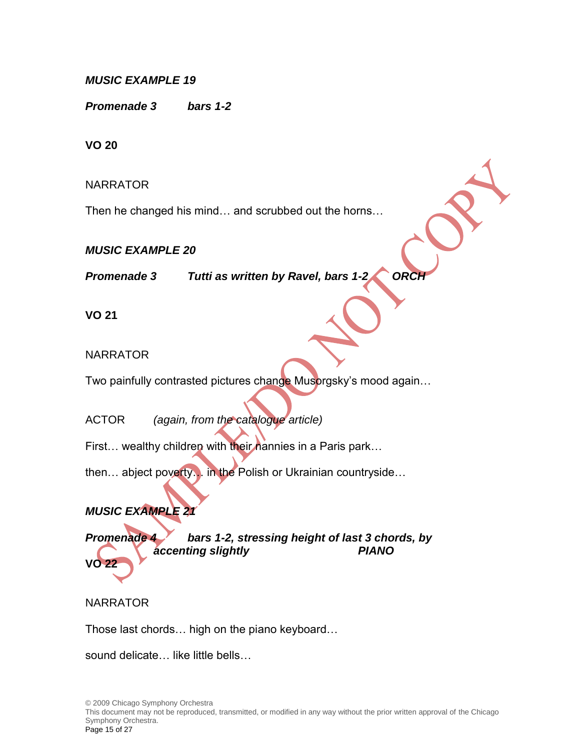# *MUSIC EXAMPLE 19*

*Promenade 3 bars 1-2*

**VO 20**

NARRATOR

Then he changed his mind… and scrubbed out the horns…

#### *MUSIC EXAMPLE 20*

**Promenade 3** *Tutti as written by Ravel, bars 1-2 ORC* 

**VO 21**

# **NARRATOR**

Two painfully contrasted pictures change Musorgsky's mood again...

ACTOR *(again, from the catalogue article)*

First... wealthy children with their nannies in a Paris park...

then… abject poverty… in the Polish or Ukrainian countryside…

# *MUSIC EXAMPLE 21*

*Promenade 4 bars 1-2, stressing height of last 3 chords, by accenting slightly PIANO*

# NARRATOR

**VO 22**

Those last chords… high on the piano keyboard…

sound delicate… like little bells…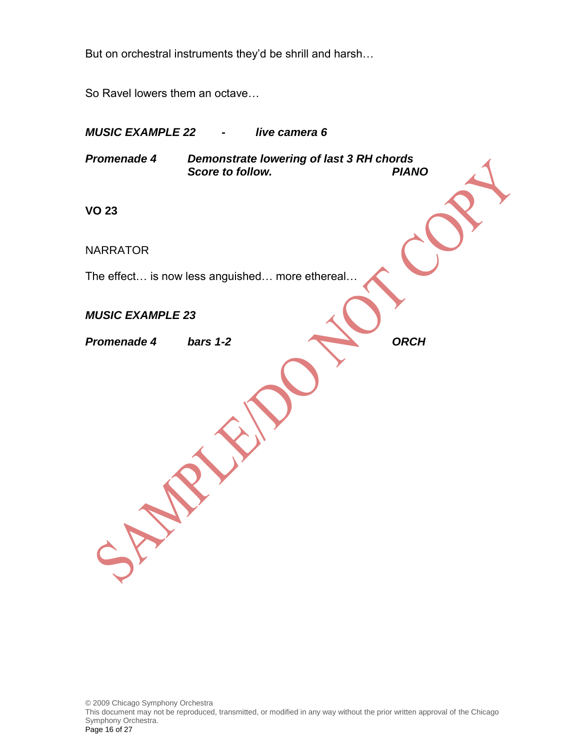But on orchestral instruments they'd be shrill and harsh…

So Ravel lowers them an octave…

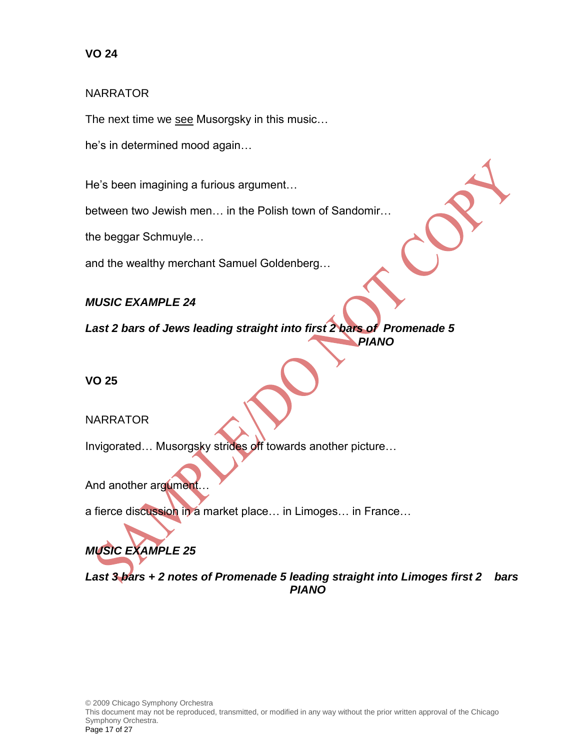#### NARRATOR

The next time we see Musorgsky in this music...

he's in determined mood again…

He's been imagining a furious argument…

between two Jewish men… in the Polish town of Sandomir…

the beggar Schmuyle…

and the wealthy merchant Samuel Goldenberg…

# *MUSIC EXAMPLE 24*

*Last 2 bars of Jews leading straight into first 2 bars of Promenade 5 PIANO*

**VO 25**

# NARRATOR

Invigorated… Musorgsky strides off towards another picture…

And another argument.

a fierce discussion in a market place... in Limoges... in France...

# *MUSIC EXAMPLE 25*

*Last 3 bars + 2 notes of Promenade 5 leading straight into Limoges first 2 bars PIANO*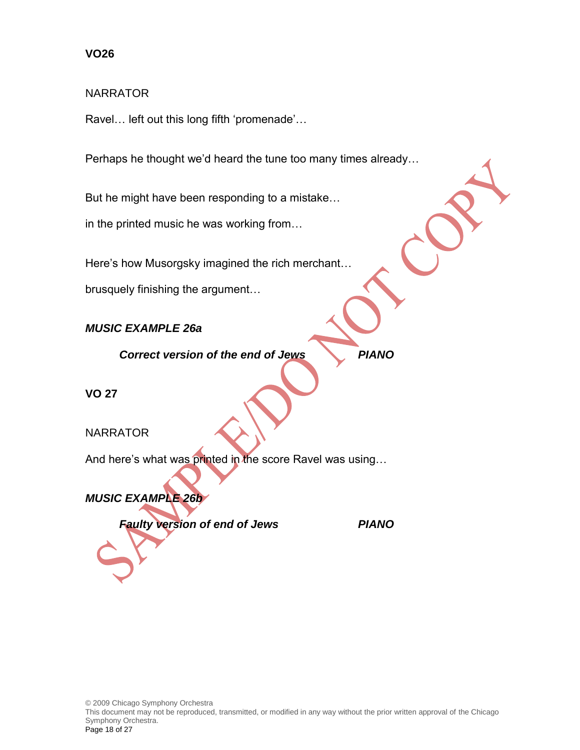#### NARRATOR

Ravel… left out this long fifth 'promenade'…

Perhaps he thought we'd heard the tune too many times already…

But he might have been responding to a mistake…

in the printed music he was working from…

Here's how Musorgsky imagined the rich merchant…

brusquely finishing the argument…

*MUSIC EXAMPLE 26a*

*Correct version of the end of Jews PIANO*

**VO 27**

**NARRATOR** 

And here's what was printed in the score Ravel was using…

*MUSIC EXAMPLE 26b*

*Faulty version of end of Jews PIANO*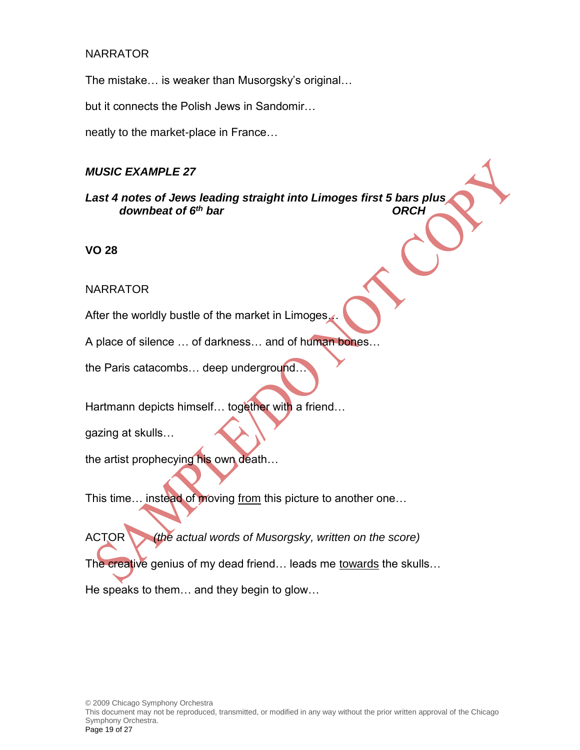The mistake… is weaker than Musorgsky's original…

but it connects the Polish Jews in Sandomir…

neatly to the market-place in France…

#### *MUSIC EXAMPLE 27*

*Last 4 notes of Jews leading straight into Limoges first 5 bars plus downbeat of 6<sup>th</sup> bar* 

**VO 28**

#### NARRATOR

After the worldly bustle of the market in Limoges.

A place of silence ... of darkness... and of human bones...

the Paris catacombs… deep underground…

Hartmann depicts himself... together with a friend...

gazing at skulls…

the artist prophecying his own death…

This time… instead of moving from this picture to another one…

ACTOR *(the actual words of Musorgsky, written on the score)*

The creative genius of my dead friend… leads me towards the skulls…

He speaks to them… and they begin to glow…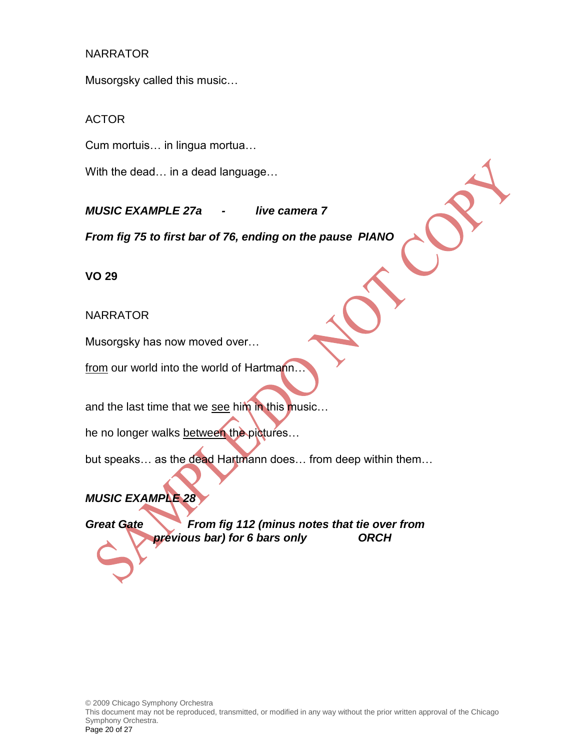Musorgsky called this music…

#### ACTOR

Cum mortuis… in lingua mortua…

With the dead… in a dead language…

*MUSIC EXAMPLE 27a - live camera 7*

*From fig 75 to first bar of 76, ending on the pause PIANO*

**VO 29**

NARRATOR

Musorgsky has now moved over…

from our world into the world of Hartmann...

and the last time that we see him in this music...

he no longer walks between the pictures...

but speaks... as the dead Hartmann does... from deep within them...

*MUSIC EXAMPLE 28*

*Great Gate From fig 112 (minus notes that tie over from previous bar) for 6 bars only ORCH*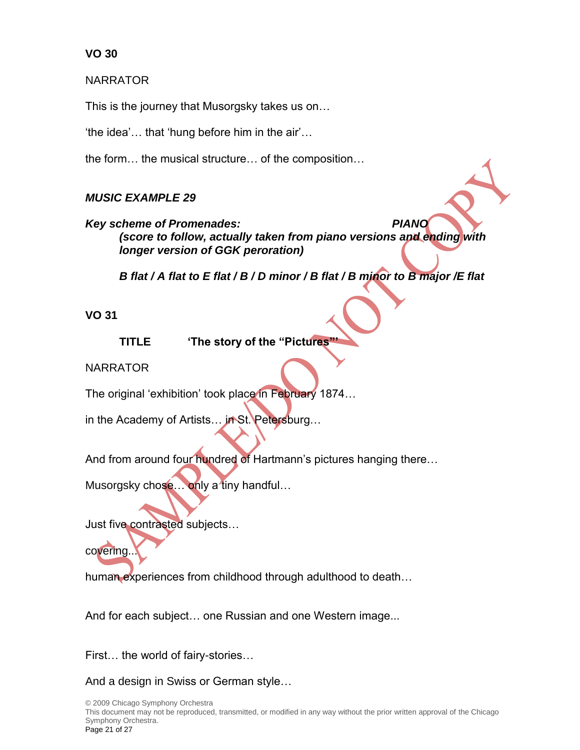**NARRATOR** 

This is the journey that Musorgsky takes us on…

'the idea'… that 'hung before him in the air'…

the form… the musical structure… of the composition…

# *MUSIC EXAMPLE 29*

*Key scheme of Promenades: PIANO (score to follow, actually taken from piano versions and ending with longer version of GGK peroration)*

*B flat / A flat to E flat / B / D minor / B flat / B minor to B major /E flat*

# **VO 31**

**TITLE 'The story of the "Pictures"'**

**NARRATOR** 

The original 'exhibition' took place in February 1874...

in the Academy of Artists... in St. Petersburg...

And from around four hundred of Hartmann's pictures hanging there...

Musorgsky chose... only a tiny handful...

Just five contrasted subjects…

covering.

human experiences from childhood through adulthood to death...

And for each subject… one Russian and one Western image...

First… the world of fairy-stories…

And a design in Swiss or German style…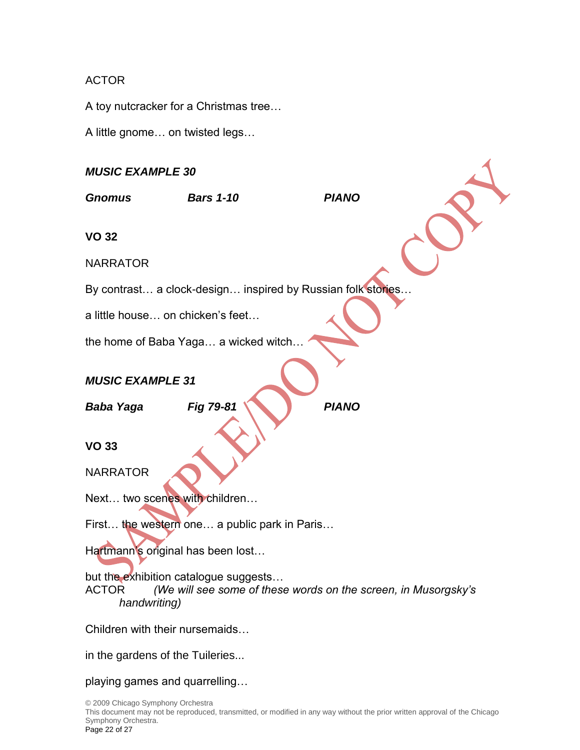# ACTOR

A toy nutcracker for a Christmas tree…

A little gnome… on twisted legs…

# *MUSIC EXAMPLE 30*

| <b>MUSIC EXAMPLE 30</b>                                               |                                                                |              |  |  |
|-----------------------------------------------------------------------|----------------------------------------------------------------|--------------|--|--|
| <b>Gnomus</b>                                                         | <b>Bars 1-10</b>                                               | <b>PIANO</b> |  |  |
| <b>VO 32</b>                                                          |                                                                |              |  |  |
| <b>NARRATOR</b>                                                       |                                                                |              |  |  |
|                                                                       | By contrast a clock-design inspired by Russian folk stories    |              |  |  |
| a little house on chicken's feet                                      |                                                                |              |  |  |
|                                                                       | the home of Baba Yaga a wicked witch                           |              |  |  |
| <b>MUSIC EXAMPLE 31</b>                                               |                                                                |              |  |  |
| <b>Baba Yaga</b>                                                      | Fig 79-81                                                      | <b>PIANO</b> |  |  |
| <b>VO 33</b>                                                          |                                                                |              |  |  |
| <b>NARRATOR</b>                                                       |                                                                |              |  |  |
| Next two scenes with children                                         |                                                                |              |  |  |
|                                                                       | First the western one a public park in Paris                   |              |  |  |
| Hartmann's original has been lost                                     |                                                                |              |  |  |
| but the exhibition catalogue suggests<br><b>ACTOR</b><br>handwriting) | (We will see some of these words on the screen, in Musorgsky's |              |  |  |
| Children with their nursemaids                                        |                                                                |              |  |  |
| in the gardens of the Tuileries                                       |                                                                |              |  |  |
| playing games and quarrelling                                         |                                                                |              |  |  |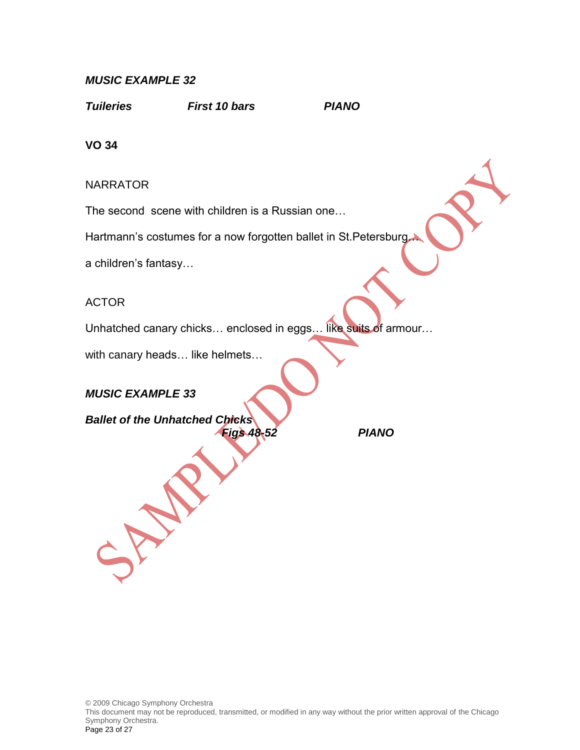# *MUSIC EXAMPLE 32*

*Tuileries First 10 bars PIANO*

**VO 34**

NARRATOR

The second scene with children is a Russian one…

Hartmann's costumes for a now forgotten ballet in St.Petersburg…

a children's fantasy…

ACTOR

Unhatched canary chicks... enclosed in eggs... like suits of armour...

with canary heads… like helmets…

# *MUSIC EXAMPLE 33*

*Ballet of the Unhatched Chicks*

*Figs 48-52 PIANO*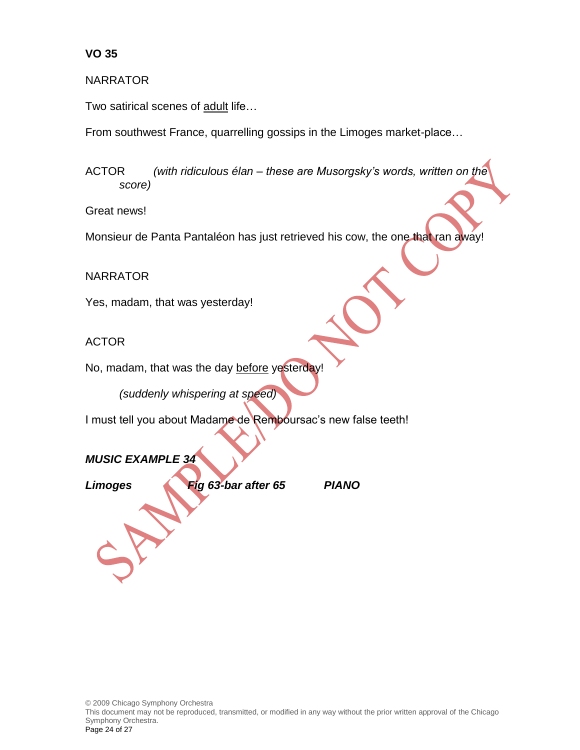#### NARRATOR

Two satirical scenes of adult life…

From southwest France, quarrelling gossips in the Limoges market-place…

ACTOR *(with ridiculous élan – these are Musorgsky's words, written on the score)*

Great news!

Monsieur de Panta Pantaléon has just retrieved his cow, the one that ran away!

NARRATOR

Yes, madam, that was yesterday!

ACTOR

No, madam, that was the day before yesterday!

*(suddenly whispering at speed)*

I must tell you about Madame de Remboursac's new false teeth!

*MUSIC EXAMPLE 34*

*Limoges Fig 63-bar after 65 PIANO*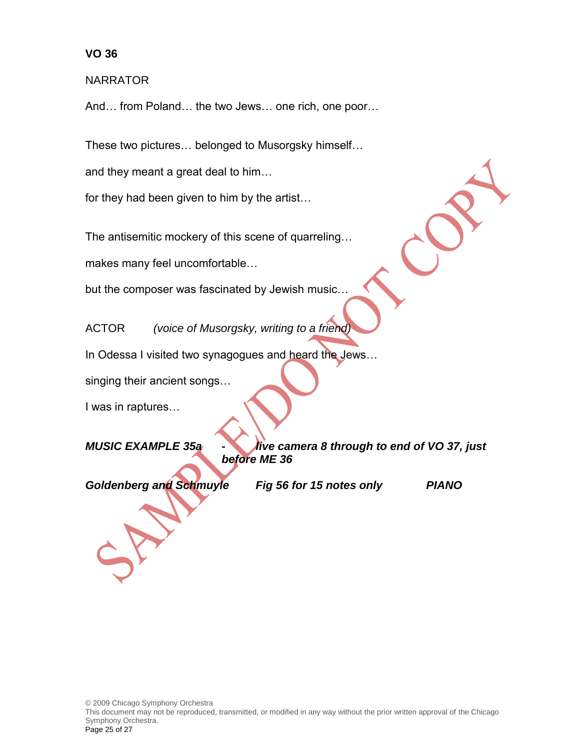**NARRATOR** 

And… from Poland… the two Jews… one rich, one poor…

These two pictures… belonged to Musorgsky himself…

and they meant a great deal to him…

for they had been given to him by the artist…

The antisemitic mockery of this scene of quarreling…

makes many feel uncomfortable…

but the composer was fascinated by Jewish music…

ACTOR *(voice of Musorgsky, writing to a friend)*

In Odessa I visited two synagogues and heard the Jews…

singing their ancient songs…

I was in raptures…

*MUSIC EXAMPLE 35a - live camera 8 through to end of VO 37, just before ME 36*

*Goldenberg and Schmuyle Fig 56 for 15 notes only PIANO*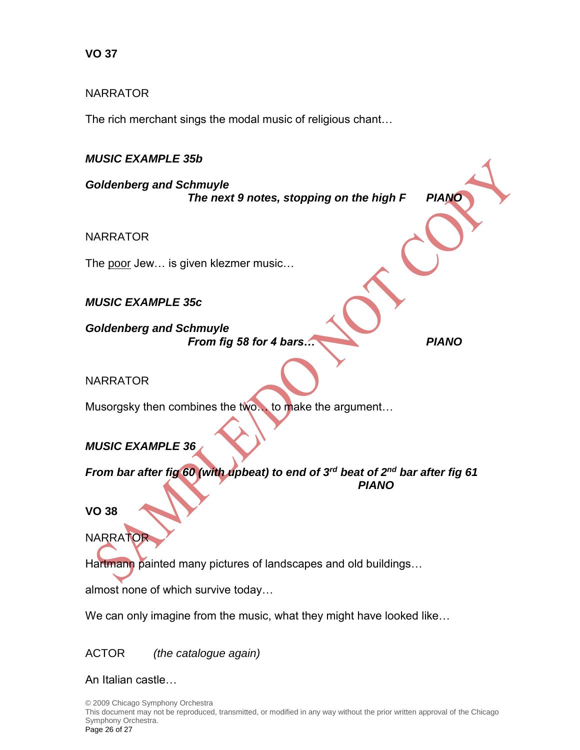# NARRATOR

The rich merchant sings the modal music of religious chant…

# *MUSIC EXAMPLE 35b*

*Goldenberg and Schmuyle The next 9 notes, stopping on the high F PIANO*

NARRATOR

The poor Jew... is given klezmer music...

# *MUSIC EXAMPLE 35c*

*Goldenberg and Schmuyle From fig 58 for 4 bars… PIANO*

# NARRATOR

Musorgsky then combines the two... to make the argument...

# *MUSIC EXAMPLE 36*

*From bar after fig 60 (with upbeat) to end of 3rd beat of 2nd bar after fig 61 PIANO*

# **VO 38**

**NARRATOR** 

Hartmann painted many pictures of landscapes and old buildings…

almost none of which survive today…

We can only imagine from the music, what they might have looked like…

ACTOR *(the catalogue again)*

An Italian castle…